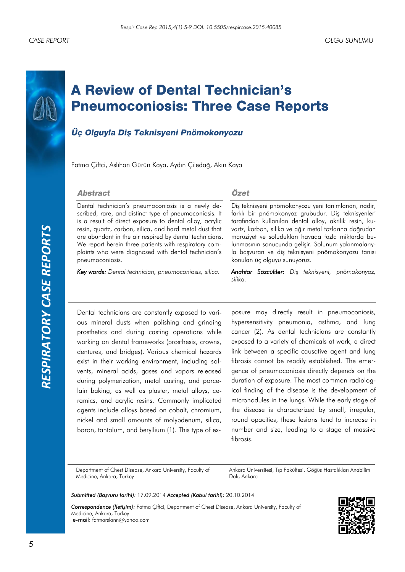*RESPIRATORY CASE REPORTS*RESPIRATORY CASE REPORTS

# **A Review of Dental Technician's Pneumoconiosis: Three Case Reports**

## Üç Olguyla Diş Teknisyeni Pnömokonyozu

Fatma Çiftci, Aslıhan Gürün Kaya, Aydın Çiledağ, Akın Kaya

#### **Abstract**

Dental technician's pneumoconiosis is a newly described, rare, and distinct type of pneumoconiosis. It is a result of direct exposure to dental alloy, acrylic resin, quartz, carbon, silica, and hard metal dust that are abundant in the air respired by dental technicians. We report herein three patients with respiratory complaints who were diagnosed with dental technician's pneumoconiosis.

*Key words: Dental technician, pneumoconiosis, silica.*

## Özet

Diş teknisyeni pnömokonyozu yeni tanımlanan, nadir, farklı bir pnömokonyoz grubudur. Diş teknisyenleri tarafından kullanılan dental alloy, akrilik resin, kuvartz, karbon, silika ve ağır metal tozlarına doğrudan maruziyet ve soludukları havada fazla miktarda bulunmasının sonucunda gelişir. Solunum yakınmalarıyla başvuran ve diş teknisyeni pnömokonyozu tanısı konulan üç olguyu sunuyoruz.

*Anahtar Sözcükler: Diş teknisyeni, pnömokonyoz, silika.*

Dental technicians are constantly exposed to various mineral dusts when polishing and grinding prosthetics and during casting operations while working on dental frameworks (prosthesis, crowns, dentures, and bridges). Various chemical hazards exist in their working environment, including solvents, mineral acids, gases and vapors released during polymerization, metal casting, and porcelain baking, as well as plaster, metal alloys, ceramics, and acrylic resins. Commonly implicated agents include alloys based on cobalt, chromium, nickel and small amounts of molybdenum, silica, boron, tantalum, and beryllium (1). This type of ex-

posure may directly result in pneumoconiosis, hypersensitivity pneumonia, asthma, and lung cancer (2). As dental technicians are constantly exposed to a variety of chemicals at work, a direct link between a specific causative agent and lung fibrosis cannot be readily established. The emergence of pneumoconiosis directly depends on the duration of exposure. The most common radiological finding of the disease is the development of micronodules in the lungs. While the early stage of the disease is characterized by small, irregular, round opacities, these lesions tend to increase in number and size, leading to a stage of massive fibrosis.

Department of Chest Disease, Ankara University, Faculty of Medicine, Ankara, Turkey

Ankara Üniversitesi, Tıp Fakültesi, Göğüs Hastalıkları Anabilim Dalı, Ankara

*Submitted (Başvuru tarihi):* 17.09.2014 *Accepted (Kabul tarihi):* 20.10.2014

*Correspondence (İletişim):* Fatma Çiftci, Department of Chest Disease, Ankara University, Faculty of Medicine, Ankara, Turkey e-mail: fatmarslann@yahoo.com

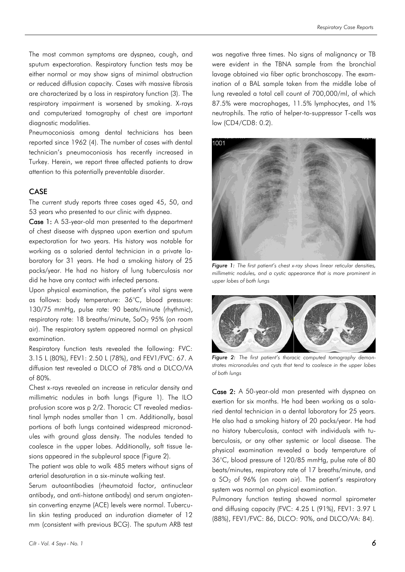The most common symptoms are dyspnea, cough, and sputum expectoration. Respiratory function tests may be either normal or may show signs of minimal obstruction or reduced diffusion capacity. Cases with massive fibrosis are characterized by a loss in respiratory function (3). The respiratory impairment is worsened by smoking. X-rays and computerized tomography of chest are important diagnostic modalities.

Pneumoconiosis among dental technicians has been reported since 1962 (4). The number of cases with dental technician's pneumoconiosis has recently increased in Turkey. Herein, we report three affected patients to draw attention to this potentially preventable disorder.

## CASE

The current study reports three cases aged 45, 50, and 53 years who presented to our clinic with dyspnea.

Case 1: A 53-year-old man presented to the department of chest disease with dyspnea upon exertion and sputum expectoration for two years. His history was notable for working as a salaried dental technician in a private laboratory for 31 years. He had a smoking history of 25 packs/year. He had no history of lung tuberculosis nor did he have any contact with infected persons.

Upon physical examination, the patient's vital signs were as follows: body temperature: 36°C, blood pressure: 130/75 mmHg, pulse rate: 90 beats/minute (rhythmic), respiratory rate: 18 breaths/minute,  $SaO<sub>2</sub>$  95% (on room air). The respiratory system appeared normal on physical examination.

Respiratory function tests revealed the following: FVC: 3.15 L (80%), FEV1: 2.50 L (78%), and FEV1/FVC: 67. A diffusion test revealed a DLCO of 78% and a DLCO/VA of 80%.

Chest x-rays revealed an increase in reticular density and millimetric nodules in both lungs (Figure 1). The ILO profusion score was p 2/2. Thoracic CT revealed mediastinal lymph nodes smaller than 1 cm. Additionally, basal portions of both lungs contained widespread micronodules with ground glass density. The nodules tended to coalesce in the upper lobes. Additionally, soft tissue lesions appeared in the subpleural space (Figure 2).

The patient was able to walk 485 meters without signs of arterial desaturation in a six-minute walking test.

Serum autoantibodies (rheumatoid factor, antinuclear antibody, and anti-histone antibody) and serum angiotensin converting enzyme (ACE) levels were normal. Tuberculin skin testing produced an induration diameter of 12 mm (consistent with previous BCG). The sputum ARB test

was negative three times. No signs of malignancy or TB were evident in the TBNA sample from the bronchial lavage obtained via fiber optic bronchoscopy. The examination of a BAL sample taken from the middle lobe of lung revealed a total cell count of 700,000/ml, of which 87.5% were macrophages, 11.5% lymphocytes, and 1% neutrophils. The ratio of helper-to-suppressor T-cells was low (CD4/CD8: 0.2).



*Figure 1: The first patient's chest x-ray shows linear reticular densities, millimetric nodules, and a cystic appearance that is more prominent in upper lobes of both lungs*



*Figure 2: The first patient's thoracic computed tomography demonstrates micronodules and cysts that tend to coalesce in the upper lobes of both lungs*

Case 2: A 50-year-old man presented with dyspnea on exertion for six months. He had been working as a salaried dental technician in a dental laboratory for 25 years. He also had a smoking history of 20 packs/year. He had no history tuberculosis, contact with individuals with tuberculosis, or any other systemic or local disease. The physical examination revealed a body temperature of 36°C, blood pressure of 120/85 mmHg, pulse rate of 80 beats/minutes, respiratory rate of 17 breaths/minute, and a  $SO<sub>2</sub>$  of 96% (on room air). The patient's respiratory system was normal on physical examination.

Pulmonary function testing showed normal spirometer and diffusing capacity (FVC: 4.25 L (91%), FEV1: 3.97 L (88%), FEV1/FVC: 86, DLCO: 90%, and DLCO/VA: 84).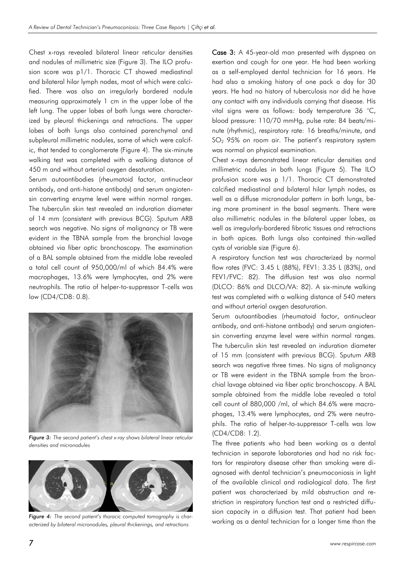Chest x-rays revealed bilateral linear reticular densities and nodules of millimetric size (Figure 3). The ILO profusion score was p1/1. Thoracic CT showed mediastinal and bilateral hilar lymph nodes, most of which were calcified. There was also an irregularly bordered nodule measuring approximately 1 cm in the upper lobe of the left lung. The upper lobes of both lungs were characterized by pleural thickenings and retractions. The upper lobes of both lungs also contained parenchymal and subpleural millimetric nodules, some of which were calcific, that tended to conglomerate (Figure 4). The six-minute walking test was completed with a walking distance of 450 m and without arterial oxygen desaturation.

Serum autoantibodies (rheumatoid factor, antinuclear antibody, and anti-histone antibody) and serum angiotensin converting enzyme level were within normal ranges. The tuberculin skin test revealed an induration diameter of 14 mm (consistent with previous BCG). Sputum ARB search was negative. No signs of malignancy or TB were evident in the TBNA sample from the bronchial lavage obtained via fiber optic bronchoscopy. The examination of a BAL sample obtained from the middle lobe revealed a total cell count of 950,000/ml of which 84.4% were macrophages, 13.6% were lymphocytes, and 2% were neutrophils. The ratio of helper-to-suppressor T-cells was low (CD4/CD8: 0.8).



*Figure 3: The second patient's chest x-ray shows bilateral linear reticular densities and micronodules*



*Figure 4: The second patient's thoracic computed tomography is characterized by bilateral micronodules, pleural thickenings, and retractions*

Case 3: A 45-year-old man presented with dyspnea on exertion and cough for one year. He had been working as a self-employed dental technician for 16 years. He had also a smoking history of one pack a day for 30 years. He had no history of tuberculosis nor did he have any contact with any individuals carrying that disease. His vital signs were as follows: body temperature 36 °C, blood pressure: 110/70 mmHg, pulse rate: 84 beats/minute (rhythmic), respiratory rate: 16 breaths/minute, and  $SO<sub>2</sub>$  95% on room air. The patient's respiratory system was normal on physical examination.

Chest x-rays demonstrated linear reticular densities and millimetric nodules in both lungs (Figure 5). The ILO profusion score was p 1/1. Thoracic CT demonstrated calcified mediastinal and bilateral hilar lymph nodes, as well as a diffuse micronodular pattern in both lungs, being more prominent in the basal segments. There were also millimetric nodules in the bilateral upper lobes, as well as irregularly-bordered fibrotic tissues and retractions in both apices. Both lungs also contained thin-walled cysts of variable size (Figure 6).

A respiratory function test was characterized by normal flow rates (FVC: 3.45 L (88%), FEV1: 3.35 L (83%), and FEV1/FVC: 82). The diffusion test was also normal (DLCO: 86% and DLCO/VA: 82). A six-minute walking test was completed with a walking distance of 540 meters and without arterial oxygen desaturation.

Serum autoantibodies (rheumatoid factor, antinuclear antibody, and anti-histone antibody) and serum angiotensin converting enzyme level were within normal ranges. The tuberculin skin test revealed an induration diameter of 15 mm (consistent with previous BCG). Sputum ARB search was negative three times. No signs of malignancy or TB were evident in the TBNA sample from the bronchial lavage obtained via fiber optic bronchoscopy. A BAL sample obtained from the middle lobe revealed a total cell count of 880,000 /ml, of which 84.6% were macrophages, 13.4% were lymphocytes, and 2% were neutrophils. The ratio of helper-to-suppressor T-cells was low (CD4/CD8: 1.2).

The three patients who had been working as a dental technician in separate laboratories and had no risk factors for respiratory disease other than smoking were diagnosed with dental technician's pneumoconiosis in light of the available clinical and radiological data. The first patient was characterized by mild obstruction and restriction in respiratory function test and a restricted diffusion capacity in a diffusion test. That patient had been working as a dental technician for a longer time than the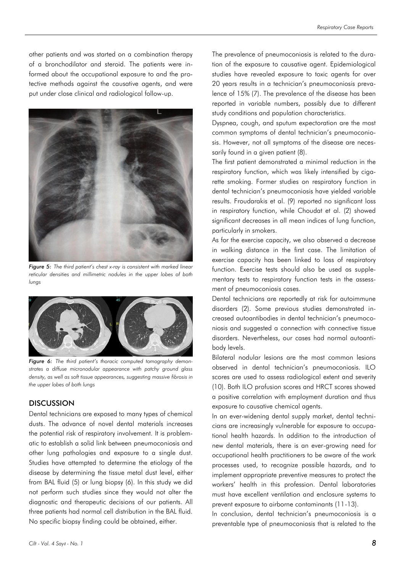other patients and was started on a combination therapy of a bronchodilator and steroid. The patients were informed about the occupational exposure to and the protective methods against the causative agents, and were put under close clinical and radiological follow-up.



*Figure 5: The third patient's chest x-ray is consistent with marked linear reticular densities and millimetric nodules in the upper lobes of both lungs*



*Figure 6: The third patient's thoracic computed tomography demonstrates a diffuse micronodular appearance with patchy ground glass density, as well as soft tissue appearances, suggesting massive fibrosis in the upper lobes of both lungs*

## **DISCUSSION**

Dental technicians are exposed to many types of chemical dusts. The advance of novel dental materials increases the potential risk of respiratory involvement. It is problematic to establish a solid link between pneumoconiosis and other lung pathologies and exposure to a single dust. Studies have attempted to determine the etiology of the disease by determining the tissue metal dust level, either from BAL fluid (5) or lung biopsy (6). In this study we did not perform such studies since they would not alter the diagnostic and therapeutic decisions of our patients. All three patients had normal cell distribution in the BAL fluid. No specific biopsy finding could be obtained, either.

The prevalence of pneumoconiosis is related to the duration of the exposure to causative agent. Epidemiological studies have revealed exposure to toxic agents for over 20 years results in a technician's pneumoconiosis prevalence of 15% (7). The prevalence of the disease has been reported in variable numbers, possibly due to different study conditions and population characteristics.

Dyspnea, cough, and sputum expectoration are the most common symptoms of dental technician's pneumoconiosis. However, not all symptoms of the disease are necessarily found in a given patient (8).

The first patient demonstrated a minimal reduction in the respiratory function, which was likely intensified by cigarette smoking. Former studies on respiratory function in dental technician's pneumoconiosis have yielded variable results. Froudarakis et al. (9) reported no significant loss in respiratory function, while Choudat et al. (2) showed significant decreases in all mean indices of lung function, particularly in smokers.

As for the exercise capacity, we also observed a decrease in walking distance in the first case. The limitation of exercise capacity has been linked to loss of respiratory function. Exercise tests should also be used as supplementary tests to respiratory function tests in the assessment of pneumoconiosis cases.

Dental technicians are reportedly at risk for autoimmune disorders (2). Some previous studies demonstrated increased autoantibodies in dental technician's pneumoconiosis and suggested a connection with connective tissue disorders. Nevertheless, our cases had normal autoantibody levels.

Bilateral nodular lesions are the most common lesions observed in dental technician's pneumoconiosis. ILO scores are used to assess radiological extent and severity (10). Both ILO profusion scores and HRCT scores showed a positive correlation with employment duration and thus exposure to causative chemical agents.

In an ever-widening dental supply market, dental technicians are increasingly vulnerable for exposure to occupational health hazards. In addition to the introduction of new dental materials, there is an ever-growing need for occupational health practitioners to be aware of the work processes used, to recognize possible hazards, and to implement appropriate preventive measures to protect the workers' health in this profession. Dental laboratories must have excellent ventilation and enclosure systems to prevent exposure to airborne contaminants (11-13).

In conclusion, dental technician's pneumoconiosis is a preventable type of pneumoconiosis that is related to the